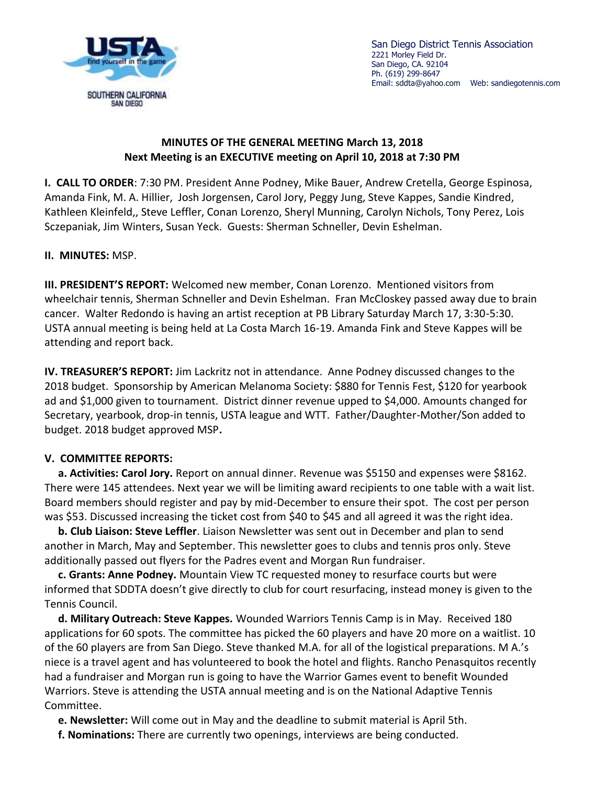

San Diego District Tennis Association 2221 Morley Field Dr. San Diego, CA. 92104 Ph. (619) 299-8647 Email: [sddta@yahoo.com](mailto:sddta@yahoo.com) Web: sandiegotennis.com

## **MINUTES OF THE GENERAL MEETING March 13, 2018 Next Meeting is an EXECUTIVE meeting on April 10, 2018 at 7:30 PM**

**I. CALL TO ORDER**: 7:30 PM. President Anne Podney, Mike Bauer, Andrew Cretella, George Espinosa, Amanda Fink, M. A. Hillier, Josh Jorgensen, Carol Jory, Peggy Jung, Steve Kappes, Sandie Kindred, Kathleen Kleinfeld,, Steve Leffler, Conan Lorenzo, Sheryl Munning, Carolyn Nichols, Tony Perez, Lois Sczepaniak, Jim Winters, Susan Yeck. Guests: Sherman Schneller, Devin Eshelman.

## **II. MINUTES:** MSP.

**III. PRESIDENT'S REPORT:** Welcomed new member, Conan Lorenzo. Mentioned visitors from wheelchair tennis, Sherman Schneller and Devin Eshelman. Fran McCloskey passed away due to brain cancer. Walter Redondo is having an artist reception at PB Library Saturday March 17, 3:30-5:30. USTA annual meeting is being held at La Costa March 16-19. Amanda Fink and Steve Kappes will be attending and report back.

**IV. TREASURER'S REPORT:** Jim Lackritz not in attendance. Anne Podney discussed changes to the 2018 budget. Sponsorship by American Melanoma Society: \$880 for Tennis Fest, \$120 for yearbook ad and \$1,000 given to tournament. District dinner revenue upped to \$4,000. Amounts changed for Secretary, yearbook, drop-in tennis, USTA league and WTT. Father/Daughter-Mother/Son added to budget. 2018 budget approved MSP**.**

## **V. COMMITTEE REPORTS:**

 **a. Activities: Carol Jory.** Report on annual dinner. Revenue was \$5150 and expenses were \$8162. There were 145 attendees. Next year we will be limiting award recipients to one table with a wait list. Board members should register and pay by mid-December to ensure their spot. The cost per person was \$53. Discussed increasing the ticket cost from \$40 to \$45 and all agreed it was the right idea.

 **b. Club Liaison: Steve Leffler**. Liaison Newsletter was sent out in December and plan to send another in March, May and September. This newsletter goes to clubs and tennis pros only. Steve additionally passed out flyers for the Padres event and Morgan Run fundraiser.

 **c. Grants: Anne Podney.** Mountain View TC requested money to resurface courts but were informed that SDDTA doesn't give directly to club for court resurfacing, instead money is given to the Tennis Council.

 **d. Military Outreach: Steve Kappes.** Wounded Warriors Tennis Camp is in May. Received 180 applications for 60 spots. The committee has picked the 60 players and have 20 more on a waitlist. 10 of the 60 players are from San Diego. Steve thanked M.A. for all of the logistical preparations. M A.'s niece is a travel agent and has volunteered to book the hotel and flights. Rancho Penasquitos recently had a fundraiser and Morgan run is going to have the Warrior Games event to benefit Wounded Warriors. Steve is attending the USTA annual meeting and is on the National Adaptive Tennis Committee.

**e. Newsletter:** Will come out in May and the deadline to submit material is April 5th.

 **f. Nominations:** There are currently two openings, interviews are being conducted.